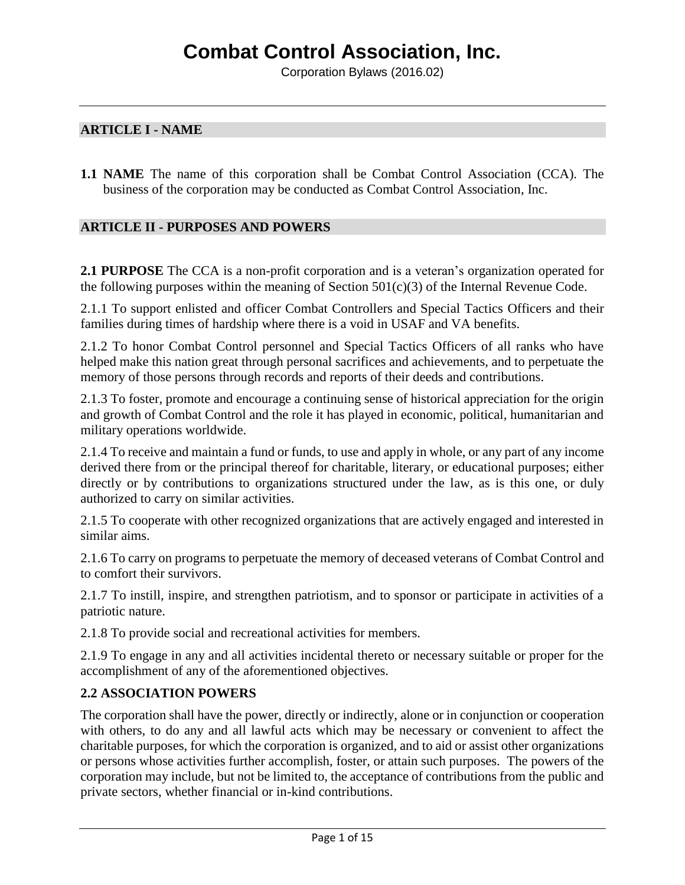### **ARTICLE I - NAME**

**1.1 NAME** The name of this corporation shall be Combat Control Association (CCA). The business of the corporation may be conducted as Combat Control Association, Inc.

### **ARTICLE II - PURPOSES AND POWERS**

**2.1 PURPOSE** The CCA is a non-profit corporation and is a veteran's organization operated for the following purposes within the meaning of Section  $501(c)(3)$  of the Internal Revenue Code.

2.1.1 To support enlisted and officer Combat Controllers and Special Tactics Officers and their families during times of hardship where there is a void in USAF and VA benefits.

2.1.2 To honor Combat Control personnel and Special Tactics Officers of all ranks who have helped make this nation great through personal sacrifices and achievements, and to perpetuate the memory of those persons through records and reports of their deeds and contributions.

2.1.3 To foster, promote and encourage a continuing sense of historical appreciation for the origin and growth of Combat Control and the role it has played in economic, political, humanitarian and military operations worldwide.

2.1.4 To receive and maintain a fund or funds, to use and apply in whole, or any part of any income derived there from or the principal thereof for charitable, literary, or educational purposes; either directly or by contributions to organizations structured under the law, as is this one, or duly authorized to carry on similar activities.

2.1.5 To cooperate with other recognized organizations that are actively engaged and interested in similar aims.

2.1.6 To carry on programs to perpetuate the memory of deceased veterans of Combat Control and to comfort their survivors.

2.1.7 To instill, inspire, and strengthen patriotism, and to sponsor or participate in activities of a patriotic nature.

2.1.8 To provide social and recreational activities for members.

2.1.9 To engage in any and all activities incidental thereto or necessary suitable or proper for the accomplishment of any of the aforementioned objectives.

## **2.2 ASSOCIATION POWERS**

The corporation shall have the power, directly or indirectly, alone or in conjunction or cooperation with others, to do any and all lawful acts which may be necessary or convenient to affect the charitable purposes, for which the corporation is organized, and to aid or assist other organizations or persons whose activities further accomplish, foster, or attain such purposes. The powers of the corporation may include, but not be limited to, the acceptance of contributions from the public and private sectors, whether financial or in-kind contributions.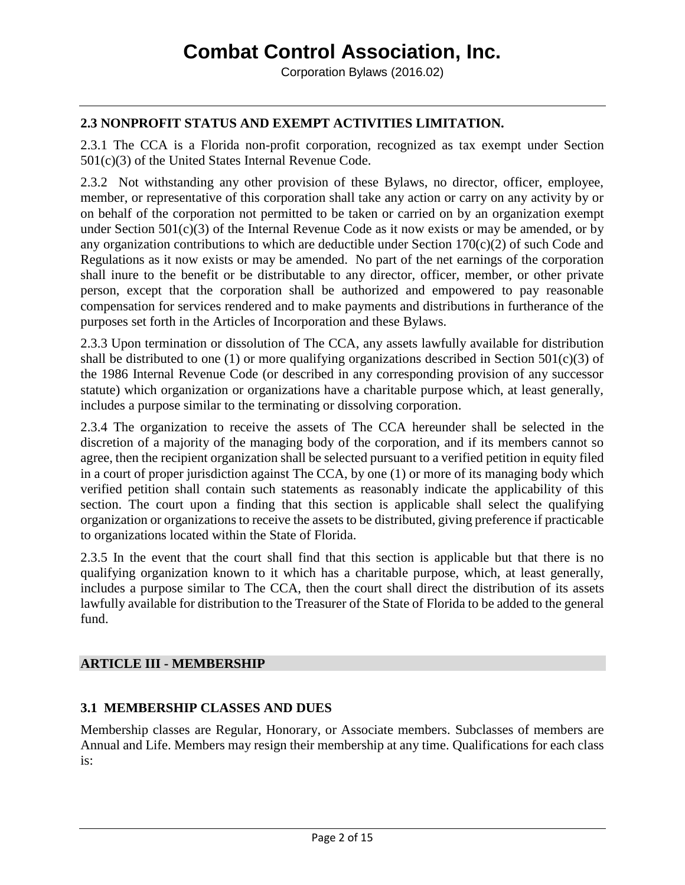# **2.3 NONPROFIT STATUS AND EXEMPT ACTIVITIES LIMITATION.**

2.3.1 The CCA is a Florida non-profit corporation, recognized as tax exempt under Section 501(c)(3) of the United States Internal Revenue Code.

2.3.2 Not withstanding any other provision of these Bylaws, no director, officer, employee, member, or representative of this corporation shall take any action or carry on any activity by or on behalf of the corporation not permitted to be taken or carried on by an organization exempt under Section 501(c)(3) of the Internal Revenue Code as it now exists or may be amended, or by any organization contributions to which are deductible under Section  $170(c)(2)$  of such Code and Regulations as it now exists or may be amended. No part of the net earnings of the corporation shall inure to the benefit or be distributable to any director, officer, member, or other private person, except that the corporation shall be authorized and empowered to pay reasonable compensation for services rendered and to make payments and distributions in furtherance of the purposes set forth in the Articles of Incorporation and these Bylaws.

2.3.3 Upon termination or dissolution of The CCA, any assets lawfully available for distribution shall be distributed to one (1) or more qualifying organizations described in Section  $501(c)(3)$  of the 1986 Internal Revenue Code (or described in any corresponding provision of any successor statute) which organization or organizations have a charitable purpose which, at least generally, includes a purpose similar to the terminating or dissolving corporation.

2.3.4 The organization to receive the assets of The CCA hereunder shall be selected in the discretion of a majority of the managing body of the corporation, and if its members cannot so agree, then the recipient organization shall be selected pursuant to a verified petition in equity filed in a court of proper jurisdiction against The CCA, by one (1) or more of its managing body which verified petition shall contain such statements as reasonably indicate the applicability of this section. The court upon a finding that this section is applicable shall select the qualifying organization or organizations to receive the assets to be distributed, giving preference if practicable to organizations located within the State of Florida.

2.3.5 In the event that the court shall find that this section is applicable but that there is no qualifying organization known to it which has a charitable purpose, which, at least generally, includes a purpose similar to The CCA, then the court shall direct the distribution of its assets lawfully available for distribution to the Treasurer of the State of Florida to be added to the general fund.

### **ARTICLE III - MEMBERSHIP**

### **3.1 MEMBERSHIP CLASSES AND DUES**

Membership classes are Regular, Honorary, or Associate members. Subclasses of members are Annual and Life. Members may resign their membership at any time. Qualifications for each class is: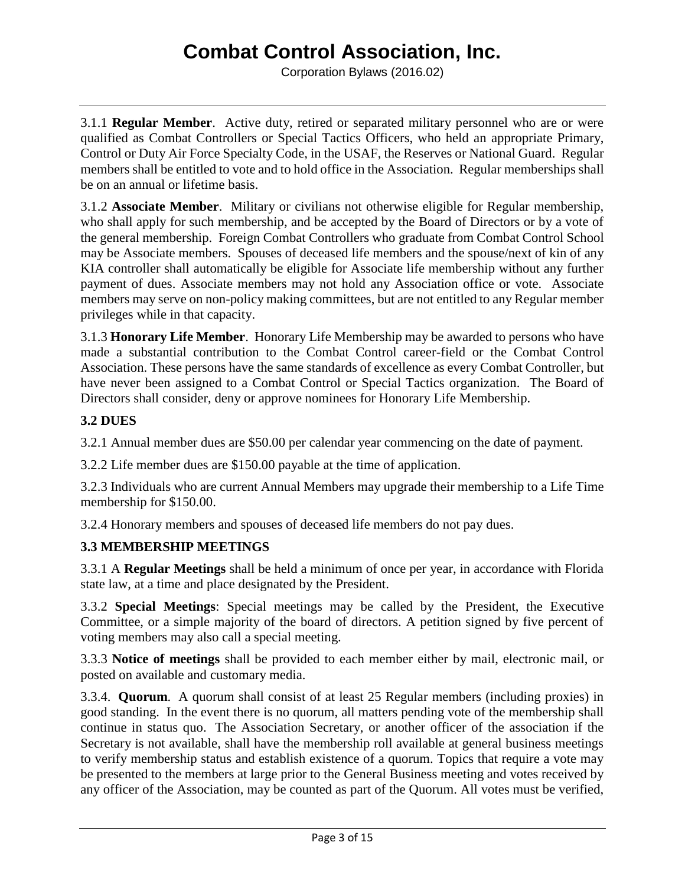Corporation Bylaws (2016.02)

3.1.1 **Regular Member**. Active duty, retired or separated military personnel who are or were qualified as Combat Controllers or Special Tactics Officers, who held an appropriate Primary, Control or Duty Air Force Specialty Code, in the USAF, the Reserves or National Guard. Regular members shall be entitled to vote and to hold office in the Association. Regular memberships shall be on an annual or lifetime basis.

3.1.2 **Associate Member**. Military or civilians not otherwise eligible for Regular membership, who shall apply for such membership, and be accepted by the Board of Directors or by a vote of the general membership. Foreign Combat Controllers who graduate from Combat Control School may be Associate members. Spouses of deceased life members and the spouse/next of kin of any KIA controller shall automatically be eligible for Associate life membership without any further payment of dues. Associate members may not hold any Association office or vote. Associate members may serve on non-policy making committees, but are not entitled to any Regular member privileges while in that capacity.

3.1.3 **Honorary Life Member**. Honorary Life Membership may be awarded to persons who have made a substantial contribution to the Combat Control career-field or the Combat Control Association. These persons have the same standards of excellence as every Combat Controller, but have never been assigned to a Combat Control or Special Tactics organization. The Board of Directors shall consider, deny or approve nominees for Honorary Life Membership.

# **3.2 DUES**

3.2.1 Annual member dues are \$50.00 per calendar year commencing on the date of payment.

3.2.2 Life member dues are \$150.00 payable at the time of application.

3.2.3 Individuals who are current Annual Members may upgrade their membership to a Life Time membership for \$150.00.

3.2.4 Honorary members and spouses of deceased life members do not pay dues.

# **3.3 MEMBERSHIP MEETINGS**

3.3.1 A **Regular Meetings** shall be held a minimum of once per year, in accordance with Florida state law, at a time and place designated by the President.

3.3.2 **Special Meetings**: Special meetings may be called by the President, the Executive Committee, or a simple majority of the board of directors. A petition signed by five percent of voting members may also call a special meeting.

3.3.3 **Notice of meetings** shall be provided to each member either by mail, electronic mail, or posted on available and customary media.

3.3.4. **Quorum**. A quorum shall consist of at least 25 Regular members (including proxies) in good standing. In the event there is no quorum, all matters pending vote of the membership shall continue in status quo. The Association Secretary, or another officer of the association if the Secretary is not available, shall have the membership roll available at general business meetings to verify membership status and establish existence of a quorum. Topics that require a vote may be presented to the members at large prior to the General Business meeting and votes received by any officer of the Association, may be counted as part of the Quorum. All votes must be verified,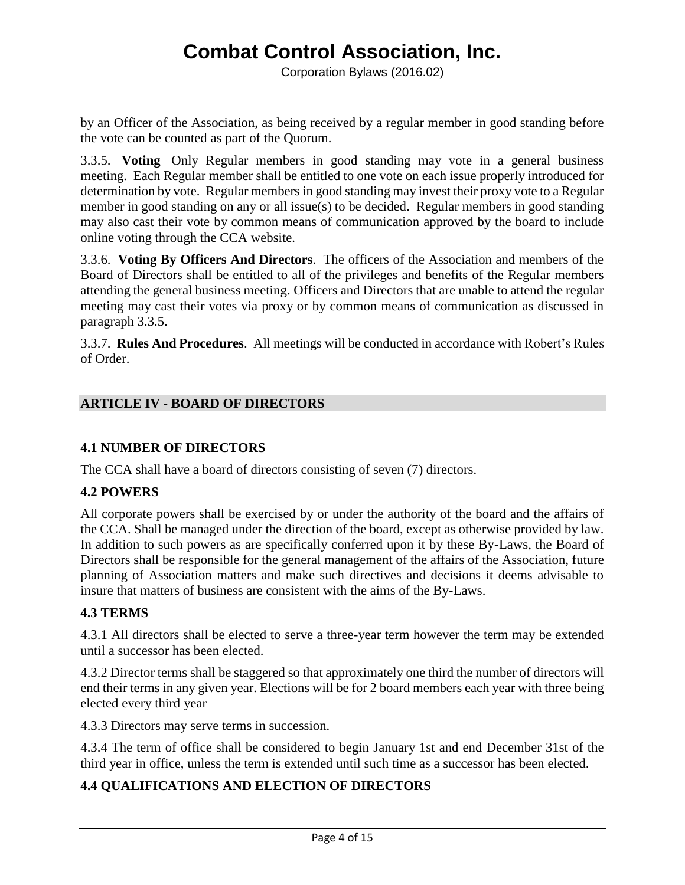by an Officer of the Association, as being received by a regular member in good standing before the vote can be counted as part of the Quorum.

3.3.5. **Voting** Only Regular members in good standing may vote in a general business meeting. Each Regular member shall be entitled to one vote on each issue properly introduced for determination by vote. Regular members in good standing may invest their proxy vote to a Regular member in good standing on any or all issue(s) to be decided. Regular members in good standing may also cast their vote by common means of communication approved by the board to include online voting through the CCA website.

3.3.6. **Voting By Officers And Directors**. The officers of the Association and members of the Board of Directors shall be entitled to all of the privileges and benefits of the Regular members attending the general business meeting. Officers and Directors that are unable to attend the regular meeting may cast their votes via proxy or by common means of communication as discussed in paragraph 3.3.5.

3.3.7. **Rules And Procedures**. All meetings will be conducted in accordance with Robert's Rules of Order.

# **ARTICLE IV - BOARD OF DIRECTORS**

## **4.1 NUMBER OF DIRECTORS**

The CCA shall have a board of directors consisting of seven (7) directors.

### **4.2 POWERS**

All corporate powers shall be exercised by or under the authority of the board and the affairs of the CCA. Shall be managed under the direction of the board, except as otherwise provided by law. In addition to such powers as are specifically conferred upon it by these By-Laws, the Board of Directors shall be responsible for the general management of the affairs of the Association, future planning of Association matters and make such directives and decisions it deems advisable to insure that matters of business are consistent with the aims of the By-Laws.

### **4.3 TERMS**

4.3.1 All directors shall be elected to serve a three-year term however the term may be extended until a successor has been elected.

4.3.2 Director terms shall be staggered so that approximately one third the number of directors will end their terms in any given year. Elections will be for 2 board members each year with three being elected every third year

4.3.3 Directors may serve terms in succession.

4.3.4 The term of office shall be considered to begin January 1st and end December 31st of the third year in office, unless the term is extended until such time as a successor has been elected.

# **4.4 QUALIFICATIONS AND ELECTION OF DIRECTORS**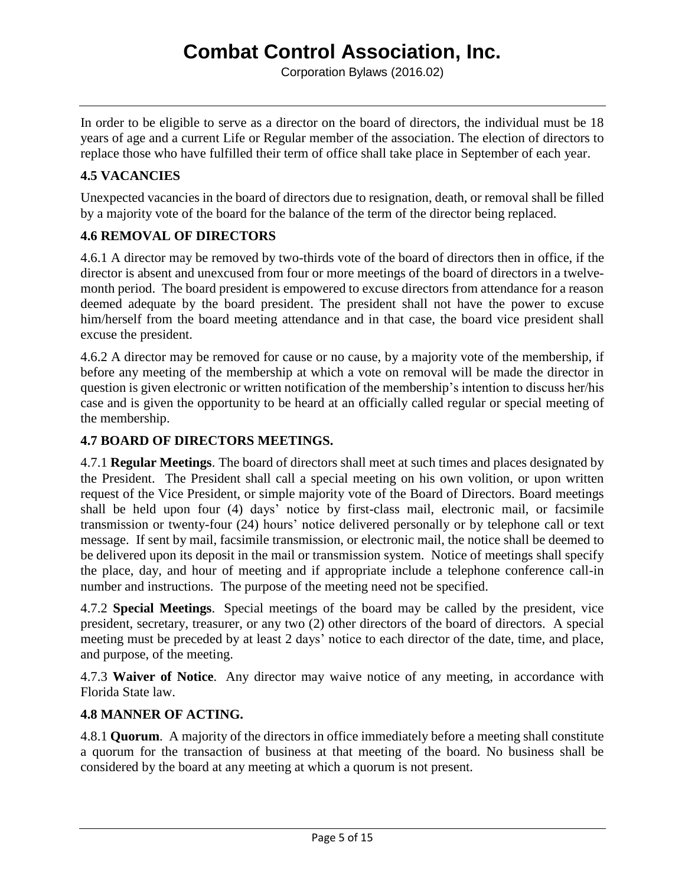Corporation Bylaws (2016.02)

In order to be eligible to serve as a director on the board of directors, the individual must be 18 years of age and a current Life or Regular member of the association. The election of directors to replace those who have fulfilled their term of office shall take place in September of each year.

# **4.5 VACANCIES**

Unexpected vacancies in the board of directors due to resignation, death, or removal shall be filled by a majority vote of the board for the balance of the term of the director being replaced.

# **4.6 REMOVAL OF DIRECTORS**

4.6.1 A director may be removed by two-thirds vote of the board of directors then in office, if the director is absent and unexcused from four or more meetings of the board of directors in a twelvemonth period. The board president is empowered to excuse directors from attendance for a reason deemed adequate by the board president. The president shall not have the power to excuse him/herself from the board meeting attendance and in that case, the board vice president shall excuse the president.

4.6.2 A director may be removed for cause or no cause, by a majority vote of the membership, if before any meeting of the membership at which a vote on removal will be made the director in question is given electronic or written notification of the membership's intention to discuss her/his case and is given the opportunity to be heard at an officially called regular or special meeting of the membership.

## **4.7 BOARD OF DIRECTORS MEETINGS.**

4.7.1 **Regular Meetings**. The board of directors shall meet at such times and places designated by the President. The President shall call a special meeting on his own volition, or upon written request of the Vice President, or simple majority vote of the Board of Directors. Board meetings shall be held upon four (4) days' notice by first-class mail, electronic mail, or facsimile transmission or twenty-four (24) hours' notice delivered personally or by telephone call or text message. If sent by mail, facsimile transmission, or electronic mail, the notice shall be deemed to be delivered upon its deposit in the mail or transmission system. Notice of meetings shall specify the place, day, and hour of meeting and if appropriate include a telephone conference call-in number and instructions. The purpose of the meeting need not be specified.

4.7.2 **Special Meetings**. Special meetings of the board may be called by the president, vice president, secretary, treasurer, or any two (2) other directors of the board of directors. A special meeting must be preceded by at least 2 days' notice to each director of the date, time, and place, and purpose, of the meeting.

4.7.3 **Waiver of Notice**. Any director may waive notice of any meeting, in accordance with Florida State law.

## **4.8 MANNER OF ACTING.**

4.8.1 **Quorum**. A majority of the directors in office immediately before a meeting shall constitute a quorum for the transaction of business at that meeting of the board. No business shall be considered by the board at any meeting at which a quorum is not present.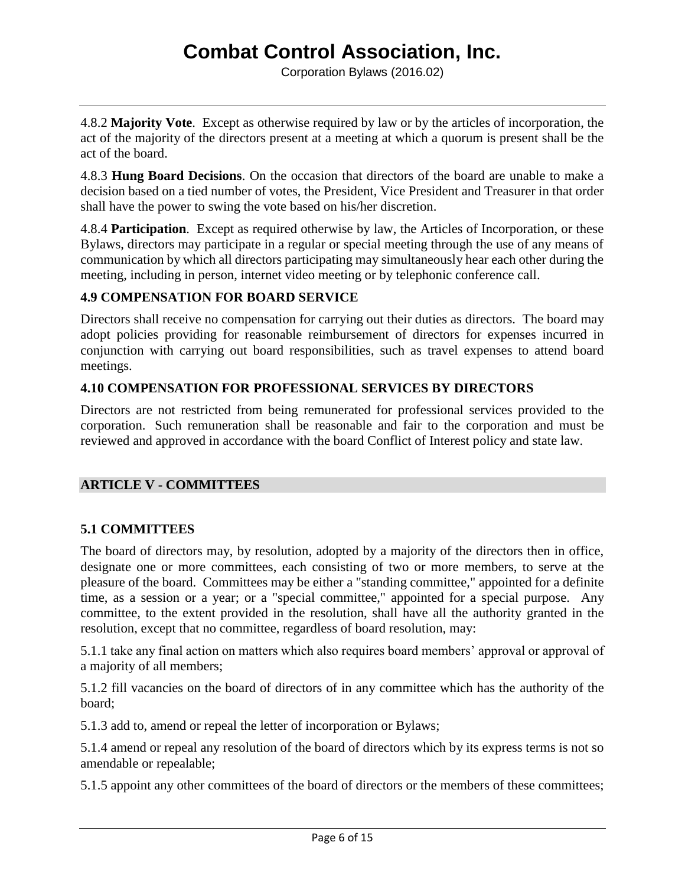4.8.2 **Majority Vote**. Except as otherwise required by law or by the articles of incorporation, the act of the majority of the directors present at a meeting at which a quorum is present shall be the act of the board.

4.8.3 **Hung Board Decisions**. On the occasion that directors of the board are unable to make a decision based on a tied number of votes, the President, Vice President and Treasurer in that order shall have the power to swing the vote based on his/her discretion.

4.8.4 **Participation**. Except as required otherwise by law, the Articles of Incorporation, or these Bylaws, directors may participate in a regular or special meeting through the use of any means of communication by which all directors participating may simultaneously hear each other during the meeting, including in person, internet video meeting or by telephonic conference call.

# **4.9 COMPENSATION FOR BOARD SERVICE**

Directors shall receive no compensation for carrying out their duties as directors. The board may adopt policies providing for reasonable reimbursement of directors for expenses incurred in conjunction with carrying out board responsibilities, such as travel expenses to attend board meetings.

# **4.10 COMPENSATION FOR PROFESSIONAL SERVICES BY DIRECTORS**

Directors are not restricted from being remunerated for professional services provided to the corporation. Such remuneration shall be reasonable and fair to the corporation and must be reviewed and approved in accordance with the board Conflict of Interest policy and state law.

### **ARTICLE V - COMMITTEES**

# **5.1 COMMITTEES**

The board of directors may, by resolution, adopted by a majority of the directors then in office, designate one or more committees, each consisting of two or more members, to serve at the pleasure of the board. Committees may be either a "standing committee," appointed for a definite time, as a session or a year; or a "special committee," appointed for a special purpose. Any committee, to the extent provided in the resolution, shall have all the authority granted in the resolution, except that no committee, regardless of board resolution, may:

5.1.1 take any final action on matters which also requires board members' approval or approval of a majority of all members;

5.1.2 fill vacancies on the board of directors of in any committee which has the authority of the board;

5.1.3 add to, amend or repeal the letter of incorporation or Bylaws;

5.1.4 amend or repeal any resolution of the board of directors which by its express terms is not so amendable or repealable;

5.1.5 appoint any other committees of the board of directors or the members of these committees;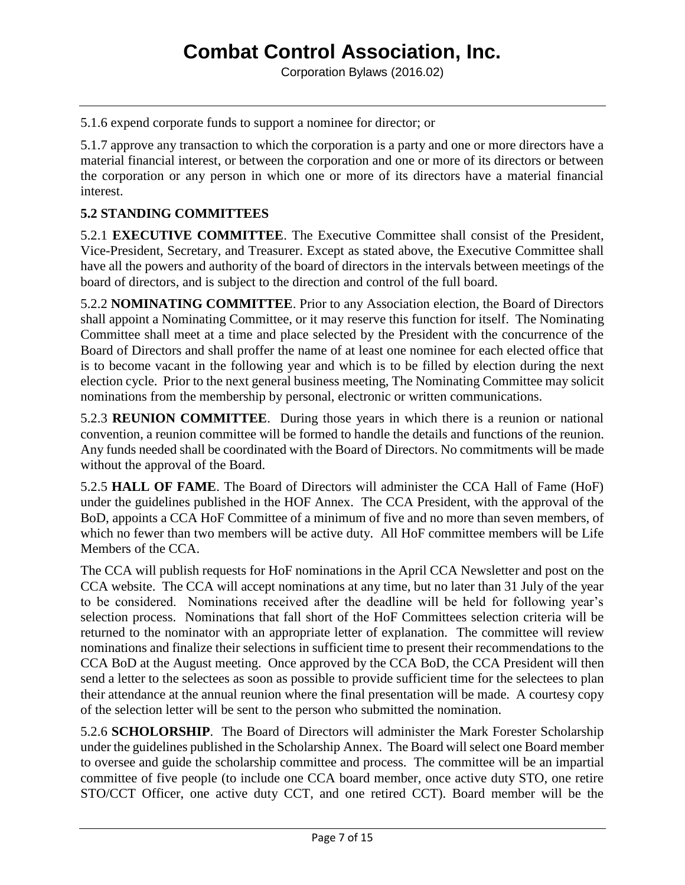5.1.6 expend corporate funds to support a nominee for director; or

5.1.7 approve any transaction to which the corporation is a party and one or more directors have a material financial interest, or between the corporation and one or more of its directors or between the corporation or any person in which one or more of its directors have a material financial interest.

## **5.2 STANDING COMMITTEES**

5.2.1 **EXECUTIVE COMMITTEE**. The Executive Committee shall consist of the President, Vice-President, Secretary, and Treasurer. Except as stated above, the Executive Committee shall have all the powers and authority of the board of directors in the intervals between meetings of the board of directors, and is subject to the direction and control of the full board.

5.2.2 **NOMINATING COMMITTEE**. Prior to any Association election, the Board of Directors shall appoint a Nominating Committee, or it may reserve this function for itself. The Nominating Committee shall meet at a time and place selected by the President with the concurrence of the Board of Directors and shall proffer the name of at least one nominee for each elected office that is to become vacant in the following year and which is to be filled by election during the next election cycle. Prior to the next general business meeting, The Nominating Committee may solicit nominations from the membership by personal, electronic or written communications.

5.2.3 **REUNION COMMITTEE**. During those years in which there is a reunion or national convention, a reunion committee will be formed to handle the details and functions of the reunion. Any funds needed shall be coordinated with the Board of Directors. No commitments will be made without the approval of the Board.

5.2.5 **HALL OF FAME**. The Board of Directors will administer the CCA Hall of Fame (HoF) under the guidelines published in the HOF Annex. The CCA President, with the approval of the BoD, appoints a CCA HoF Committee of a minimum of five and no more than seven members, of which no fewer than two members will be active duty. All HoF committee members will be Life Members of the CCA.

The CCA will publish requests for HoF nominations in the April CCA Newsletter and post on the CCA website. The CCA will accept nominations at any time, but no later than 31 July of the year to be considered. Nominations received after the deadline will be held for following year's selection process. Nominations that fall short of the HoF Committees selection criteria will be returned to the nominator with an appropriate letter of explanation. The committee will review nominations and finalize their selections in sufficient time to present their recommendations to the CCA BoD at the August meeting. Once approved by the CCA BoD, the CCA President will then send a letter to the selectees as soon as possible to provide sufficient time for the selectees to plan their attendance at the annual reunion where the final presentation will be made. A courtesy copy of the selection letter will be sent to the person who submitted the nomination.

5.2.6 **SCHOLORSHIP**. The Board of Directors will administer the Mark Forester Scholarship under the guidelines published in the Scholarship Annex. The Board will select one Board member to oversee and guide the scholarship committee and process. The committee will be an impartial committee of five people (to include one CCA board member, once active duty STO, one retire STO/CCT Officer, one active duty CCT, and one retired CCT). Board member will be the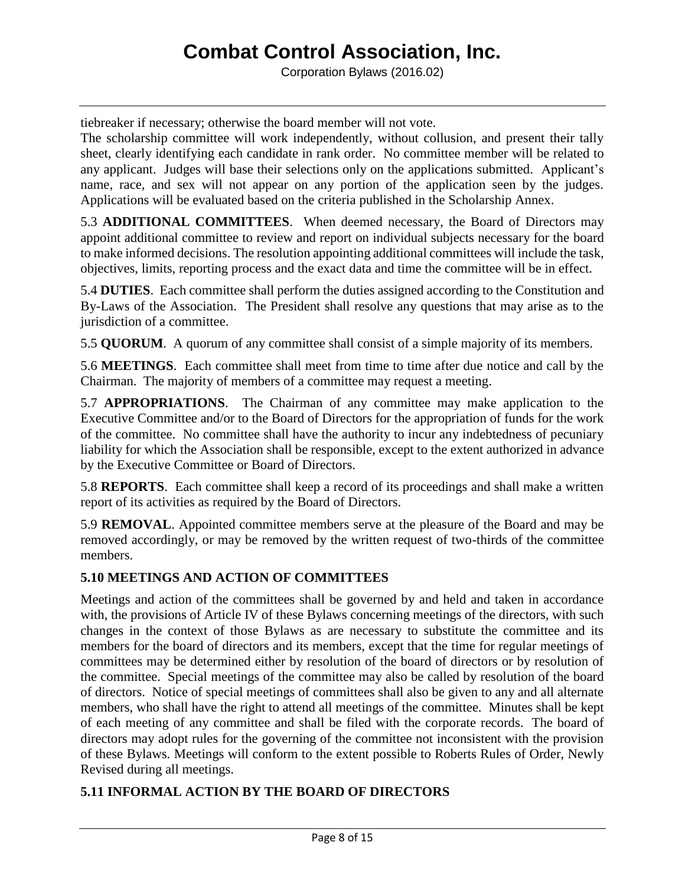Corporation Bylaws (2016.02)

tiebreaker if necessary; otherwise the board member will not vote.

The scholarship committee will work independently, without collusion, and present their tally sheet, clearly identifying each candidate in rank order. No committee member will be related to any applicant. Judges will base their selections only on the applications submitted. Applicant's name, race, and sex will not appear on any portion of the application seen by the judges. Applications will be evaluated based on the criteria published in the Scholarship Annex.

5.3 **ADDITIONAL COMMITTEES**. When deemed necessary, the Board of Directors may appoint additional committee to review and report on individual subjects necessary for the board to make informed decisions. The resolution appointing additional committees will include the task, objectives, limits, reporting process and the exact data and time the committee will be in effect.

5.4 **DUTIES**. Each committee shall perform the duties assigned according to the Constitution and By-Laws of the Association. The President shall resolve any questions that may arise as to the jurisdiction of a committee.

5.5 **QUORUM**. A quorum of any committee shall consist of a simple majority of its members.

5.6 **MEETINGS**. Each committee shall meet from time to time after due notice and call by the Chairman. The majority of members of a committee may request a meeting.

5.7 **APPROPRIATIONS**. The Chairman of any committee may make application to the Executive Committee and/or to the Board of Directors for the appropriation of funds for the work of the committee. No committee shall have the authority to incur any indebtedness of pecuniary liability for which the Association shall be responsible, except to the extent authorized in advance by the Executive Committee or Board of Directors.

5.8 **REPORTS**. Each committee shall keep a record of its proceedings and shall make a written report of its activities as required by the Board of Directors.

5.9 **REMOVAL**. Appointed committee members serve at the pleasure of the Board and may be removed accordingly, or may be removed by the written request of two-thirds of the committee members.

# **5.10 MEETINGS AND ACTION OF COMMITTEES**

Meetings and action of the committees shall be governed by and held and taken in accordance with, the provisions of Article IV of these Bylaws concerning meetings of the directors, with such changes in the context of those Bylaws as are necessary to substitute the committee and its members for the board of directors and its members, except that the time for regular meetings of committees may be determined either by resolution of the board of directors or by resolution of the committee. Special meetings of the committee may also be called by resolution of the board of directors. Notice of special meetings of committees shall also be given to any and all alternate members, who shall have the right to attend all meetings of the committee. Minutes shall be kept of each meeting of any committee and shall be filed with the corporate records. The board of directors may adopt rules for the governing of the committee not inconsistent with the provision of these Bylaws. Meetings will conform to the extent possible to Roberts Rules of Order, Newly Revised during all meetings.

# **5.11 INFORMAL ACTION BY THE BOARD OF DIRECTORS**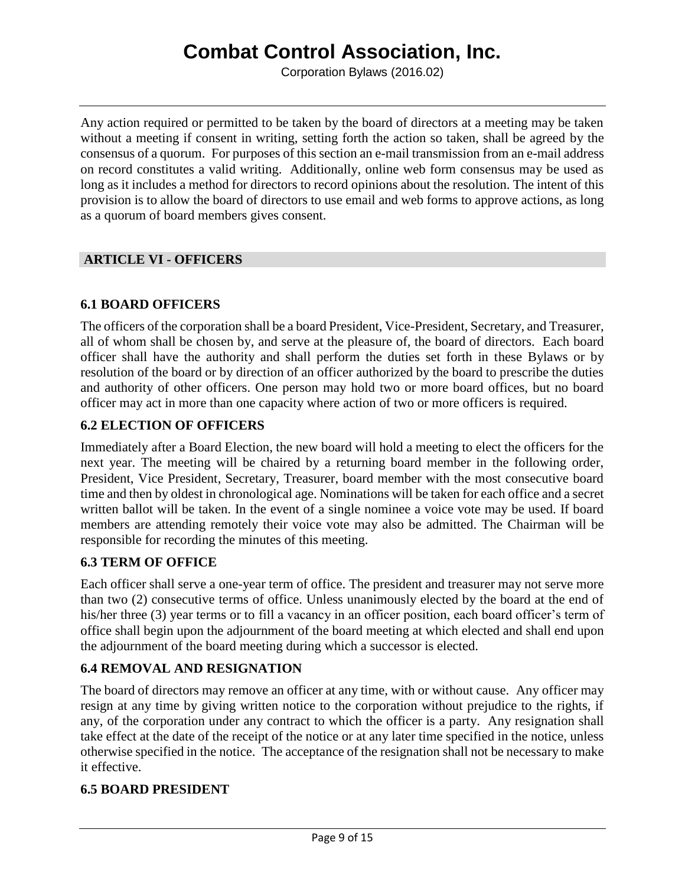Corporation Bylaws (2016.02)

Any action required or permitted to be taken by the board of directors at a meeting may be taken without a meeting if consent in writing, setting forth the action so taken, shall be agreed by the consensus of a quorum. For purposes of this section an e-mail transmission from an e-mail address on record constitutes a valid writing. Additionally, online web form consensus may be used as long as it includes a method for directors to record opinions about the resolution. The intent of this provision is to allow the board of directors to use email and web forms to approve actions, as long as a quorum of board members gives consent.

## **ARTICLE VI - OFFICERS**

## **6.1 BOARD OFFICERS**

The officers of the corporation shall be a board President, Vice-President, Secretary, and Treasurer, all of whom shall be chosen by, and serve at the pleasure of, the board of directors. Each board officer shall have the authority and shall perform the duties set forth in these Bylaws or by resolution of the board or by direction of an officer authorized by the board to prescribe the duties and authority of other officers. One person may hold two or more board offices, but no board officer may act in more than one capacity where action of two or more officers is required.

## **6.2 ELECTION OF OFFICERS**

Immediately after a Board Election, the new board will hold a meeting to elect the officers for the next year. The meeting will be chaired by a returning board member in the following order, President, Vice President, Secretary, Treasurer, board member with the most consecutive board time and then by oldest in chronological age. Nominations will be taken for each office and a secret written ballot will be taken. In the event of a single nominee a voice vote may be used. If board members are attending remotely their voice vote may also be admitted. The Chairman will be responsible for recording the minutes of this meeting.

# **6.3 TERM OF OFFICE**

Each officer shall serve a one-year term of office. The president and treasurer may not serve more than two (2) consecutive terms of office. Unless unanimously elected by the board at the end of his/her three (3) year terms or to fill a vacancy in an officer position, each board officer's term of office shall begin upon the adjournment of the board meeting at which elected and shall end upon the adjournment of the board meeting during which a successor is elected.

### **6.4 REMOVAL AND RESIGNATION**

The board of directors may remove an officer at any time, with or without cause. Any officer may resign at any time by giving written notice to the corporation without prejudice to the rights, if any, of the corporation under any contract to which the officer is a party. Any resignation shall take effect at the date of the receipt of the notice or at any later time specified in the notice, unless otherwise specified in the notice. The acceptance of the resignation shall not be necessary to make it effective.

### **6.5 BOARD PRESIDENT**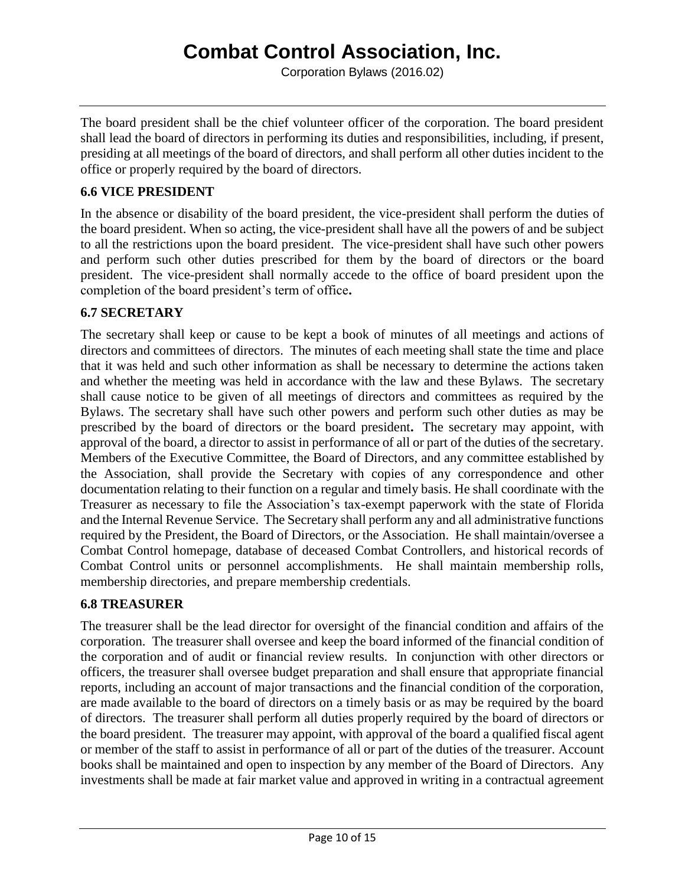Corporation Bylaws (2016.02)

The board president shall be the chief volunteer officer of the corporation. The board president shall lead the board of directors in performing its duties and responsibilities, including, if present, presiding at all meetings of the board of directors, and shall perform all other duties incident to the office or properly required by the board of directors.

## **6.6 VICE PRESIDENT**

In the absence or disability of the board president, the vice-president shall perform the duties of the board president. When so acting, the vice-president shall have all the powers of and be subject to all the restrictions upon the board president. The vice-president shall have such other powers and perform such other duties prescribed for them by the board of directors or the board president. The vice-president shall normally accede to the office of board president upon the completion of the board president's term of office**.**

# **6.7 SECRETARY**

The secretary shall keep or cause to be kept a book of minutes of all meetings and actions of directors and committees of directors. The minutes of each meeting shall state the time and place that it was held and such other information as shall be necessary to determine the actions taken and whether the meeting was held in accordance with the law and these Bylaws. The secretary shall cause notice to be given of all meetings of directors and committees as required by the Bylaws. The secretary shall have such other powers and perform such other duties as may be prescribed by the board of directors or the board president**.** The secretary may appoint, with approval of the board, a director to assist in performance of all or part of the duties of the secretary. Members of the Executive Committee, the Board of Directors, and any committee established by the Association, shall provide the Secretary with copies of any correspondence and other documentation relating to their function on a regular and timely basis. He shall coordinate with the Treasurer as necessary to file the Association's tax-exempt paperwork with the state of Florida and the Internal Revenue Service. The Secretary shall perform any and all administrative functions required by the President, the Board of Directors, or the Association. He shall maintain/oversee a Combat Control homepage, database of deceased Combat Controllers, and historical records of Combat Control units or personnel accomplishments. He shall maintain membership rolls, membership directories, and prepare membership credentials.

### **6.8 TREASURER**

The treasurer shall be the lead director for oversight of the financial condition and affairs of the corporation. The treasurer shall oversee and keep the board informed of the financial condition of the corporation and of audit or financial review results. In conjunction with other directors or officers, the treasurer shall oversee budget preparation and shall ensure that appropriate financial reports, including an account of major transactions and the financial condition of the corporation, are made available to the board of directors on a timely basis or as may be required by the board of directors. The treasurer shall perform all duties properly required by the board of directors or the board president. The treasurer may appoint, with approval of the board a qualified fiscal agent or member of the staff to assist in performance of all or part of the duties of the treasurer. Account books shall be maintained and open to inspection by any member of the Board of Directors. Any investments shall be made at fair market value and approved in writing in a contractual agreement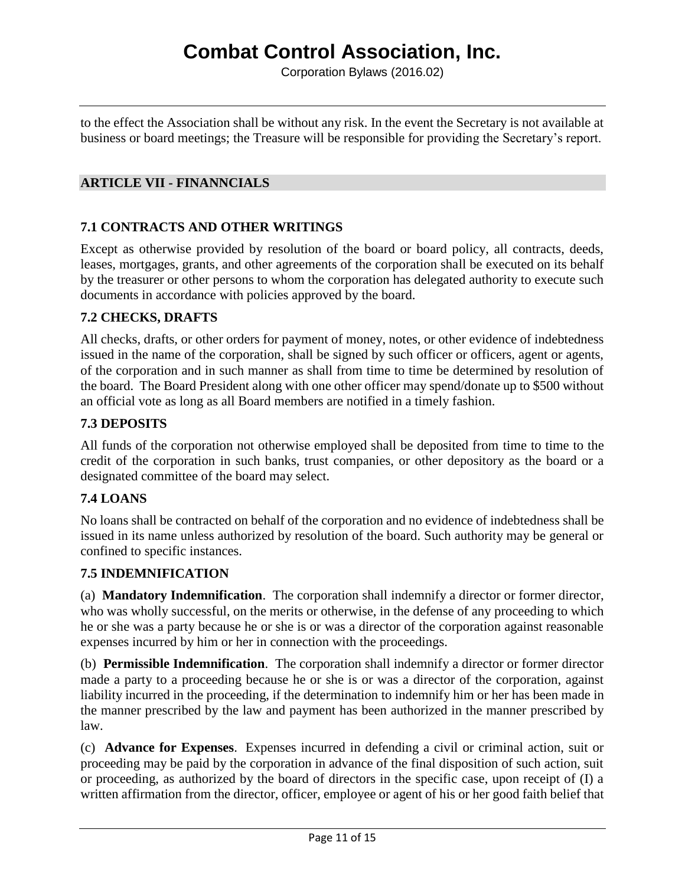Corporation Bylaws (2016.02)

to the effect the Association shall be without any risk. In the event the Secretary is not available at business or board meetings; the Treasure will be responsible for providing the Secretary's report.

## **ARTICLE VII - FINANNCIALS**

## **7.1 CONTRACTS AND OTHER WRITINGS**

Except as otherwise provided by resolution of the board or board policy, all contracts, deeds, leases, mortgages, grants, and other agreements of the corporation shall be executed on its behalf by the treasurer or other persons to whom the corporation has delegated authority to execute such documents in accordance with policies approved by the board.

### **7.2 CHECKS, DRAFTS**

All checks, drafts, or other orders for payment of money, notes, or other evidence of indebtedness issued in the name of the corporation, shall be signed by such officer or officers, agent or agents, of the corporation and in such manner as shall from time to time be determined by resolution of the board. The Board President along with one other officer may spend/donate up to \$500 without an official vote as long as all Board members are notified in a timely fashion.

## **7.3 DEPOSITS**

All funds of the corporation not otherwise employed shall be deposited from time to time to the credit of the corporation in such banks, trust companies, or other depository as the board or a designated committee of the board may select.

# **7.4 LOANS**

No loans shall be contracted on behalf of the corporation and no evidence of indebtedness shall be issued in its name unless authorized by resolution of the board. Such authority may be general or confined to specific instances.

## **7.5 INDEMNIFICATION**

(a) **Mandatory Indemnification**. The corporation shall indemnify a director or former director, who was wholly successful, on the merits or otherwise, in the defense of any proceeding to which he or she was a party because he or she is or was a director of the corporation against reasonable expenses incurred by him or her in connection with the proceedings.

(b) **Permissible Indemnification**. The corporation shall indemnify a director or former director made a party to a proceeding because he or she is or was a director of the corporation, against liability incurred in the proceeding, if the determination to indemnify him or her has been made in the manner prescribed by the law and payment has been authorized in the manner prescribed by law.

(c) **Advance for Expenses**. Expenses incurred in defending a civil or criminal action, suit or proceeding may be paid by the corporation in advance of the final disposition of such action, suit or proceeding, as authorized by the board of directors in the specific case, upon receipt of (I) a written affirmation from the director, officer, employee or agent of his or her good faith belief that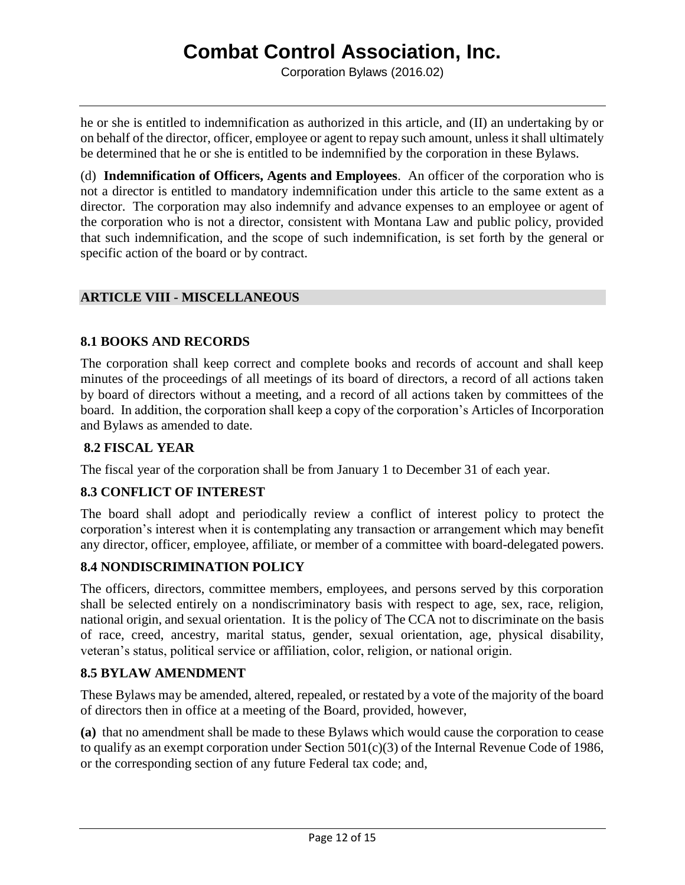Corporation Bylaws (2016.02)

he or she is entitled to indemnification as authorized in this article, and (II) an undertaking by or on behalf of the director, officer, employee or agent to repay such amount, unless it shall ultimately be determined that he or she is entitled to be indemnified by the corporation in these Bylaws.

(d) **Indemnification of Officers, Agents and Employees**. An officer of the corporation who is not a director is entitled to mandatory indemnification under this article to the same extent as a director. The corporation may also indemnify and advance expenses to an employee or agent of the corporation who is not a director, consistent with Montana Law and public policy, provided that such indemnification, and the scope of such indemnification, is set forth by the general or specific action of the board or by contract.

## **ARTICLE VIII - MISCELLANEOUS**

## **8.1 BOOKS AND RECORDS**

The corporation shall keep correct and complete books and records of account and shall keep minutes of the proceedings of all meetings of its board of directors, a record of all actions taken by board of directors without a meeting, and a record of all actions taken by committees of the board. In addition, the corporation shall keep a copy of the corporation's Articles of Incorporation and Bylaws as amended to date.

### **8.2 FISCAL YEAR**

The fiscal year of the corporation shall be from January 1 to December 31 of each year.

### **8.3 CONFLICT OF INTEREST**

The board shall adopt and periodically review a conflict of interest policy to protect the corporation's interest when it is contemplating any transaction or arrangement which may benefit any director, officer, employee, affiliate, or member of a committee with board-delegated powers.

## **8.4 NONDISCRIMINATION POLICY**

The officers, directors, committee members, employees, and persons served by this corporation shall be selected entirely on a nondiscriminatory basis with respect to age, sex, race, religion, national origin, and sexual orientation. It is the policy of The CCA not to discriminate on the basis of race, creed, ancestry, marital status, gender, sexual orientation, age, physical disability, veteran's status, political service or affiliation, color, religion, or national origin.

### **8.5 BYLAW AMENDMENT**

These Bylaws may be amended, altered, repealed, or restated by a vote of the majority of the board of directors then in office at a meeting of the Board, provided, however,

**(a)** that no amendment shall be made to these Bylaws which would cause the corporation to cease to qualify as an exempt corporation under Section 501(c)(3) of the Internal Revenue Code of 1986, or the corresponding section of any future Federal tax code; and,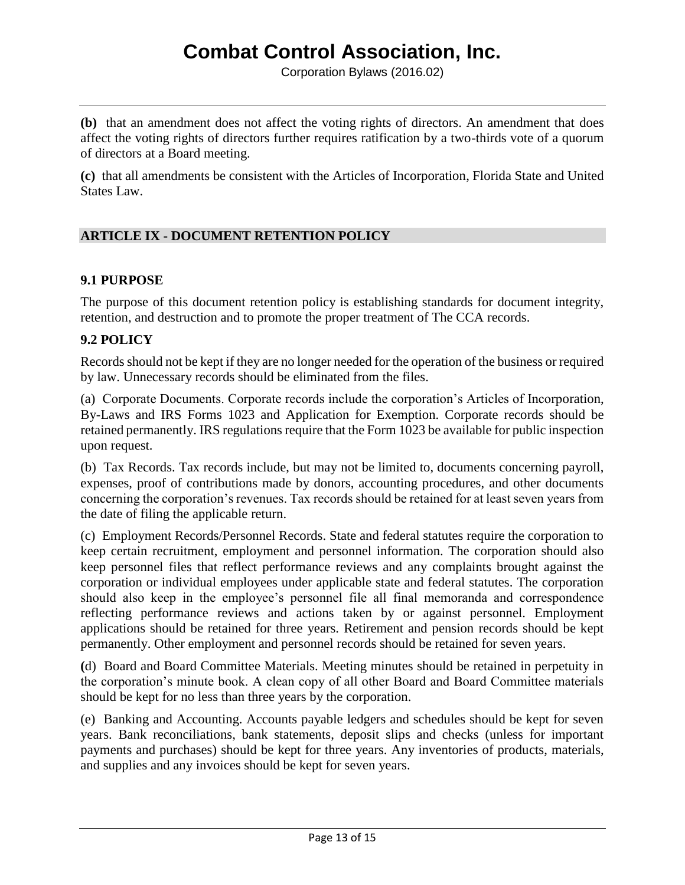Corporation Bylaws (2016.02)

**(b)** that an amendment does not affect the voting rights of directors. An amendment that does affect the voting rights of directors further requires ratification by a two-thirds vote of a quorum of directors at a Board meeting.

**(c)** that all amendments be consistent with the Articles of Incorporation, Florida State and United States Law.

# **ARTICLE IX - DOCUMENT RETENTION POLICY**

### **9.1 PURPOSE**

The purpose of this document retention policy is establishing standards for document integrity, retention, and destruction and to promote the proper treatment of The CCA records.

### **9.2 POLICY**

Records should not be kept if they are no longer needed for the operation of the business or required by law. Unnecessary records should be eliminated from the files.

(a) Corporate Documents. Corporate records include the corporation's Articles of Incorporation, By-Laws and IRS Forms 1023 and Application for Exemption. Corporate records should be retained permanently. IRS regulations require that the Form 1023 be available for public inspection upon request.

(b) Tax Records. Tax records include, but may not be limited to, documents concerning payroll, expenses, proof of contributions made by donors, accounting procedures, and other documents concerning the corporation's revenues. Tax records should be retained for at least seven years from the date of filing the applicable return.

(c) Employment Records/Personnel Records. State and federal statutes require the corporation to keep certain recruitment, employment and personnel information. The corporation should also keep personnel files that reflect performance reviews and any complaints brought against the corporation or individual employees under applicable state and federal statutes. The corporation should also keep in the employee's personnel file all final memoranda and correspondence reflecting performance reviews and actions taken by or against personnel. Employment applications should be retained for three years. Retirement and pension records should be kept permanently. Other employment and personnel records should be retained for seven years.

**(**d) Board and Board Committee Materials. Meeting minutes should be retained in perpetuity in the corporation's minute book. A clean copy of all other Board and Board Committee materials should be kept for no less than three years by the corporation.

(e) Banking and Accounting. Accounts payable ledgers and schedules should be kept for seven years. Bank reconciliations, bank statements, deposit slips and checks (unless for important payments and purchases) should be kept for three years. Any inventories of products, materials, and supplies and any invoices should be kept for seven years.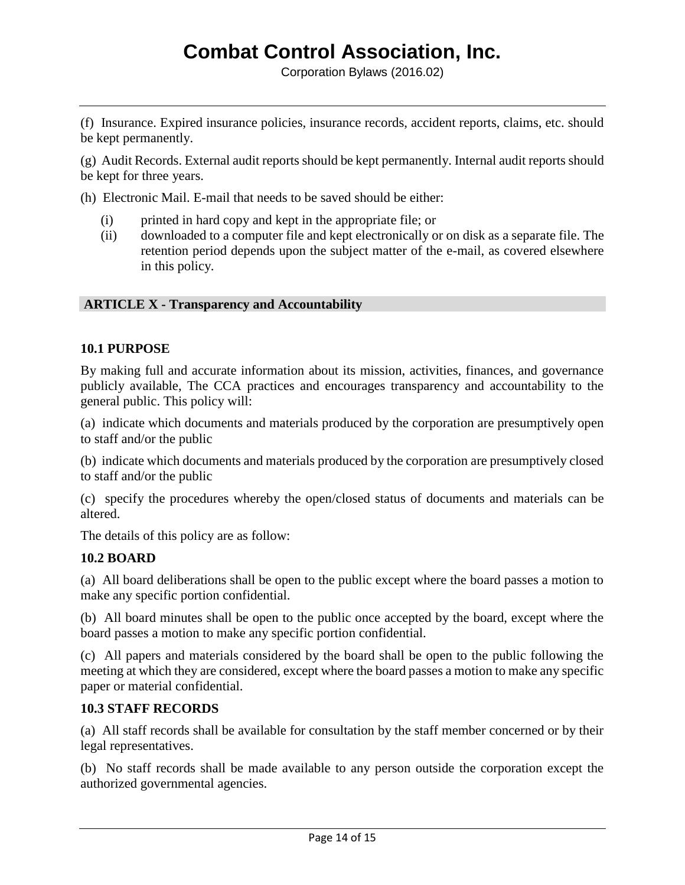(f) Insurance. Expired insurance policies, insurance records, accident reports, claims, etc. should be kept permanently.

(g) Audit Records. External audit reports should be kept permanently. Internal audit reports should be kept for three years.

(h) Electronic Mail. E-mail that needs to be saved should be either:

- (i) printed in hard copy and kept in the appropriate file; or
- (ii) downloaded to a computer file and kept electronically or on disk as a separate file. The retention period depends upon the subject matter of the e-mail, as covered elsewhere in this policy.

### **ARTICLE X - Transparency and Accountability**

### **10.1 PURPOSE**

By making full and accurate information about its mission, activities, finances, and governance publicly available, The CCA practices and encourages transparency and accountability to the general public. This policy will:

(a) indicate which documents and materials produced by the corporation are presumptively open to staff and/or the public

(b) indicate which documents and materials produced by the corporation are presumptively closed to staff and/or the public

(c) specify the procedures whereby the open/closed status of documents and materials can be altered.

The details of this policy are as follow:

### **10.2 BOARD**

(a) All board deliberations shall be open to the public except where the board passes a motion to make any specific portion confidential.

(b) All board minutes shall be open to the public once accepted by the board, except where the board passes a motion to make any specific portion confidential.

(c) All papers and materials considered by the board shall be open to the public following the meeting at which they are considered, except where the board passes a motion to make any specific paper or material confidential.

### **10.3 STAFF RECORDS**

(a) All staff records shall be available for consultation by the staff member concerned or by their legal representatives.

(b) No staff records shall be made available to any person outside the corporation except the authorized governmental agencies.